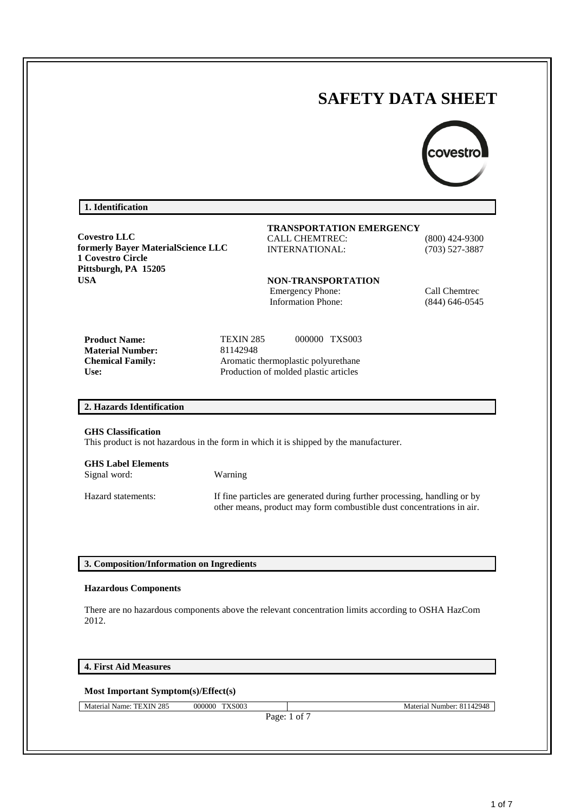# **SAFETY DATA SHEET**



## **1. Identification**

**Covestro LLC formerly Bayer MaterialScience LLC 1 Covestro Circle Pittsburgh, PA 15205 USA**

#### **TRANSPORTATION EMERGENCY** CALL CHEMTREC: (800) 424-9300

INTERNATIONAL: (703) 527-3887

**NON-TRANSPORTATION** Emergency Phone: Call Chemtrec Information Phone: (844) 646-0545

**Product Name:** TEXIN 285 000000 TXS003 **Material Number:** 81142948 **Chemical Family:** Aromatic thermoplastic polyurethane **Use:** Production of molded plastic articles

#### **2. Hazards Identification**

#### **GHS Classification**

This product is not hazardous in the form in which it is shipped by the manufacturer.

| <b>GHS Label Elements</b><br>Signal word: | Warning                                                                                                                                            |
|-------------------------------------------|----------------------------------------------------------------------------------------------------------------------------------------------------|
| Hazard statements:                        | If fine particles are generated during further processing, handling or by<br>other means, product may form combustible dust concentrations in air. |

## **3. Composition/Information on Ingredients**

#### **Hazardous Components**

There are no hazardous components above the relevant concentration limits according to OSHA HazCom 2012.

## **4. First Aid Measures**

## **Most Important Symptom(s)/Effect(s)**

Material Name: TEXIN 285 000000 TXS003 Material Number: 81142948

Page: 1 of 7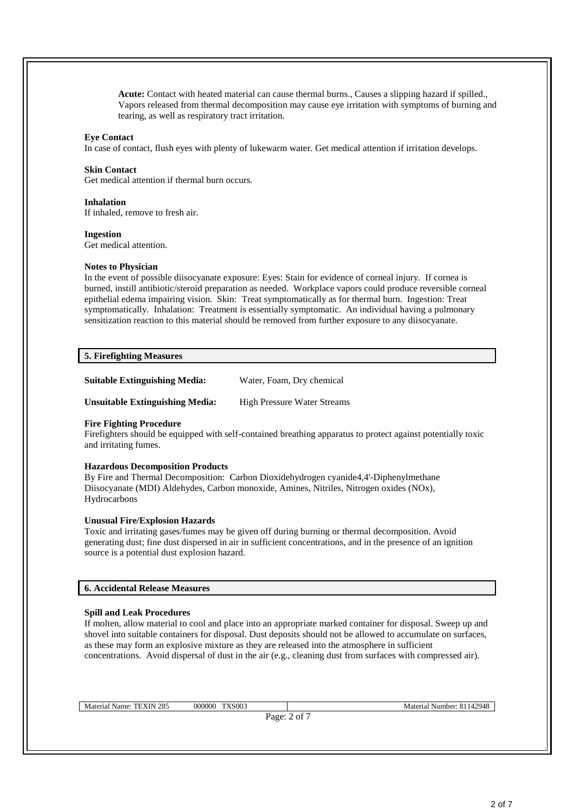**Acute:** Contact with heated material can cause thermal burns., Causes a slipping hazard if spilled., Vapors released from thermal decomposition may cause eye irritation with symptoms of burning and tearing, as well as respiratory tract irritation.

#### **Eye Contact**

In case of contact, flush eyes with plenty of lukewarm water. Get medical attention if irritation develops.

#### **Skin Contact**

Get medical attention if thermal burn occurs.

#### **Inhalation**

If inhaled, remove to fresh air.

## **Ingestion**

Get medical attention.

## **Notes to Physician**

In the event of possible diisocyanate exposure: Eyes: Stain for evidence of corneal injury. If cornea is burned, instill antibiotic/steroid preparation as needed. Workplace vapors could produce reversible corneal epithelial edema impairing vision. Skin: Treat symptomatically as for thermal burn. Ingestion: Treat symptomatically. Inhalation: Treatment is essentially symptomatic. An individual having a pulmonary sensitization reaction to this material should be removed from further exposure to any diisocyanate.

## **5. Firefighting Measures**

**Suitable Extinguishing Media:** Water, Foam, Dry chemical

**Unsuitable Extinguishing Media:** High Pressure Water Streams

#### **Fire Fighting Procedure**

Firefighters should be equipped with self-contained breathing apparatus to protect against potentially toxic and irritating fumes.

## **Hazardous Decomposition Products**

By Fire and Thermal Decomposition: Carbon Dioxidehydrogen cyanide4,4'-Diphenylmethane Diisocyanate (MDI) Aldehydes, Carbon monoxide, Amines, Nitriles, Nitrogen oxides (NOx), Hydrocarbons

## **Unusual Fire/Explosion Hazards**

Toxic and irritating gases/fumes may be given off during burning or thermal decomposition. Avoid generating dust; fine dust dispersed in air in sufficient concentrations, and in the presence of an ignition source is a potential dust explosion hazard.

## **6. Accidental Release Measures**

## **Spill and Leak Procedures**

If molten, allow material to cool and place into an appropriate marked container for disposal. Sweep up and shovel into suitable containers for disposal. Dust deposits should not be allowed to accumulate on surfaces, as these may form an explosive mixture as they are released into the atmosphere in sufficient concentrations. Avoid dispersal of dust in the air (e.g., cleaning dust from surfaces with compressed air).

Material Name: TEXIN 285 000000 TXS003 Material Number: 81142948

Page: 2 of 7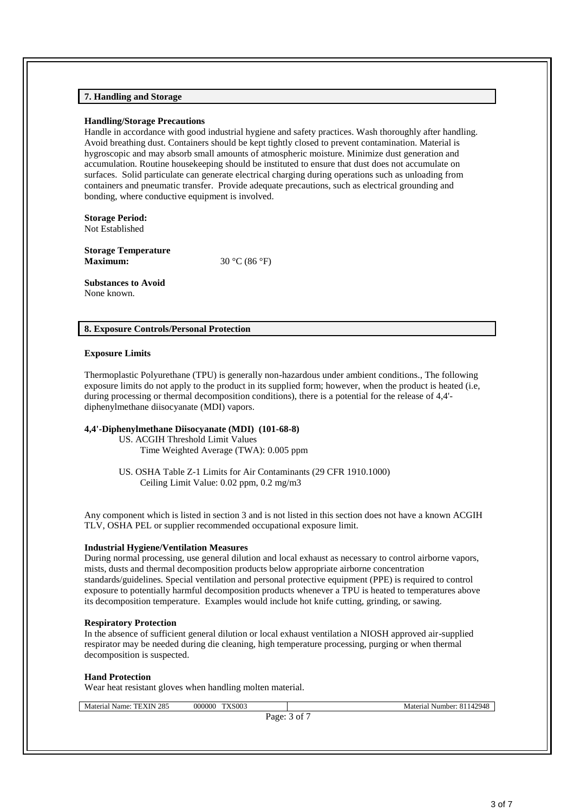## **7. Handling and Storage**

#### **Handling/Storage Precautions**

Handle in accordance with good industrial hygiene and safety practices. Wash thoroughly after handling. Avoid breathing dust. Containers should be kept tightly closed to prevent contamination. Material is hygroscopic and may absorb small amounts of atmospheric moisture. Minimize dust generation and accumulation. Routine housekeeping should be instituted to ensure that dust does not accumulate on surfaces. Solid particulate can generate electrical charging during operations such as unloading from containers and pneumatic transfer. Provide adequate precautions, such as electrical grounding and bonding, where conductive equipment is involved.

**Storage Period:** Not Established

**Storage Temperature Maximum:** 30 °C (86 °F)

**Substances to Avoid** None known.

## **8. Exposure Controls/Personal Protection**

#### **Exposure Limits**

Thermoplastic Polyurethane (TPU) is generally non-hazardous under ambient conditions., The following exposure limits do not apply to the product in its supplied form; however, when the product is heated (i.e, during processing or thermal decomposition conditions), there is a potential for the release of 4,4' diphenylmethane diisocyanate (MDI) vapors.

#### **4,4'-Diphenylmethane Diisocyanate (MDI) (101-68-8)**

US. ACGIH Threshold Limit Values Time Weighted Average (TWA): 0.005 ppm

US. OSHA Table Z-1 Limits for Air Contaminants (29 CFR 1910.1000) Ceiling Limit Value: 0.02 ppm, 0.2 mg/m3

Any component which is listed in section 3 and is not listed in this section does not have a known ACGIH TLV, OSHA PEL or supplier recommended occupational exposure limit.

#### **Industrial Hygiene/Ventilation Measures**

During normal processing, use general dilution and local exhaust as necessary to control airborne vapors, mists, dusts and thermal decomposition products below appropriate airborne concentration standards/guidelines. Special ventilation and personal protective equipment (PPE) is required to control exposure to potentially harmful decomposition products whenever a TPU is heated to temperatures above its decomposition temperature. Examples would include hot knife cutting, grinding, or sawing.

#### **Respiratory Protection**

In the absence of sufficient general dilution or local exhaust ventilation a NIOSH approved air-supplied respirator may be needed during die cleaning, high temperature processing, purging or when thermal decomposition is suspected.

#### **Hand Protection**

Wear heat resistant gloves when handling molten material.

Material Name: TEXIN 285 000000 TXS003 Material Number: 81142948

Page: 3 of 7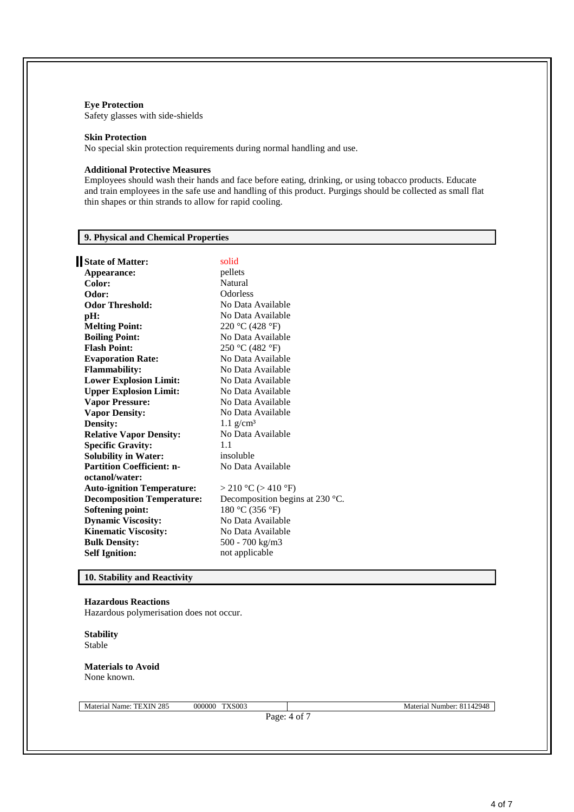## **Eye Protection**

Safety glasses with side-shields

#### **Skin Protection**

No special skin protection requirements during normal handling and use.

#### **Additional Protective Measures**

Employees should wash their hands and face before eating, drinking, or using tobacco products. Educate and train employees in the safe use and handling of this product. Purgings should be collected as small flat thin shapes or thin strands to allow for rapid cooling.

## **9. Physical and Chemical Properties**

| State of Matter:                  | solid                                     |
|-----------------------------------|-------------------------------------------|
| Appearance:                       | pellets                                   |
| Color:                            | Natural                                   |
| Odor:                             | <b>Odorless</b>                           |
| <b>Odor Threshold:</b>            | No Data Available                         |
| pH:                               | No Data Available                         |
| <b>Melting Point:</b>             | 220 °C (428 °F)                           |
| <b>Boiling Point:</b>             | No Data Available                         |
| <b>Flash Point:</b>               | 250 °C (482 °F)                           |
| <b>Evaporation Rate:</b>          | No Data Available                         |
| <b>Flammability:</b>              | No Data Available                         |
| <b>Lower Explosion Limit:</b>     | No Data Available                         |
| <b>Upper Explosion Limit:</b>     | No Data Available                         |
| <b>Vapor Pressure:</b>            | No Data Available                         |
| <b>Vapor Density:</b>             | No Data Available                         |
| <b>Density:</b>                   | $1.1$ g/cm <sup>3</sup>                   |
| <b>Relative Vapor Density:</b>    | No Data Available                         |
| <b>Specific Gravity:</b>          | 1.1                                       |
| <b>Solubility in Water:</b>       | insoluble                                 |
| <b>Partition Coefficient: n-</b>  | No Data Available                         |
| octanol/water:                    |                                           |
| <b>Auto-ignition Temperature:</b> | > 210 °C (> 410 °F)                       |
| <b>Decomposition Temperature:</b> | Decomposition begins at 230 $^{\circ}$ C. |
| <b>Softening point:</b>           | 180 °C (356 °F)                           |
| <b>Dynamic Viscosity:</b>         | No Data Available                         |
| <b>Kinematic Viscosity:</b>       | No Data Available                         |
| <b>Bulk Density:</b>              | 500 - 700 kg/m3                           |
| <b>Self Ignition:</b>             | not applicable                            |
|                                   |                                           |

## **10. Stability and Reactivity**

## **Hazardous Reactions**

Hazardous polymerisation does not occur.

**Stability** Stable

#### **Materials to Avoid** None known.

Material Name: TEXIN 285 000000 TXS003 Material Number: 81142948

Page: 4 of 7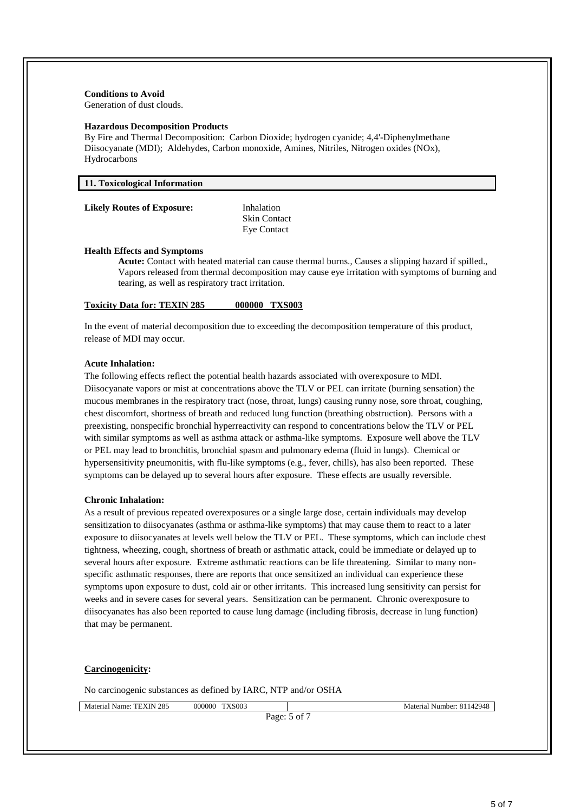## **Conditions to Avoid**

Generation of dust clouds.

#### **Hazardous Decomposition Products**

By Fire and Thermal Decomposition: Carbon Dioxide; hydrogen cyanide; 4,4'-Diphenylmethane Diisocyanate (MDI); Aldehydes, Carbon monoxide, Amines, Nitriles, Nitrogen oxides (NOx), Hydrocarbons

| 11. Toxicological Information |  |  |  |  |
|-------------------------------|--|--|--|--|
|-------------------------------|--|--|--|--|

#### **Likely Routes of Exposure:** Inhalation

Skin Contact Eye Contact

#### **Health Effects and Symptoms**

**Acute:** Contact with heated material can cause thermal burns., Causes a slipping hazard if spilled., Vapors released from thermal decomposition may cause eye irritation with symptoms of burning and tearing, as well as respiratory tract irritation.

## **Toxicity Data for: TEXIN 285 000000 TXS003**

In the event of material decomposition due to exceeding the decomposition temperature of this product, release of MDI may occur.

#### **Acute Inhalation:**

The following effects reflect the potential health hazards associated with overexposure to MDI. Diisocyanate vapors or mist at concentrations above the TLV or PEL can irritate (burning sensation) the mucous membranes in the respiratory tract (nose, throat, lungs) causing runny nose, sore throat, coughing, chest discomfort, shortness of breath and reduced lung function (breathing obstruction). Persons with a preexisting, nonspecific bronchial hyperreactivity can respond to concentrations below the TLV or PEL with similar symptoms as well as asthma attack or asthma-like symptoms. Exposure well above the TLV or PEL may lead to bronchitis, bronchial spasm and pulmonary edema (fluid in lungs). Chemical or hypersensitivity pneumonitis, with flu-like symptoms (e.g., fever, chills), has also been reported. These symptoms can be delayed up to several hours after exposure. These effects are usually reversible.

#### **Chronic Inhalation:**

As a result of previous repeated overexposures or a single large dose, certain individuals may develop sensitization to diisocyanates (asthma or asthma-like symptoms) that may cause them to react to a later exposure to diisocyanates at levels well below the TLV or PEL. These symptoms, which can include chest tightness, wheezing, cough, shortness of breath or asthmatic attack, could be immediate or delayed up to several hours after exposure. Extreme asthmatic reactions can be life threatening. Similar to many nonspecific asthmatic responses, there are reports that once sensitized an individual can experience these symptoms upon exposure to dust, cold air or other irritants. This increased lung sensitivity can persist for weeks and in severe cases for several years. Sensitization can be permanent. Chronic overexposure to diisocyanates has also been reported to cause lung damage (including fibrosis, decrease in lung function) that may be permanent.

#### **Carcinogenicity:**

No carcinogenic substances as defined by IARC, NTP and/or OSHA

Material Name: TEXIN 285 000000 TXS003 Material Number: 81142948

Page: 5 of 7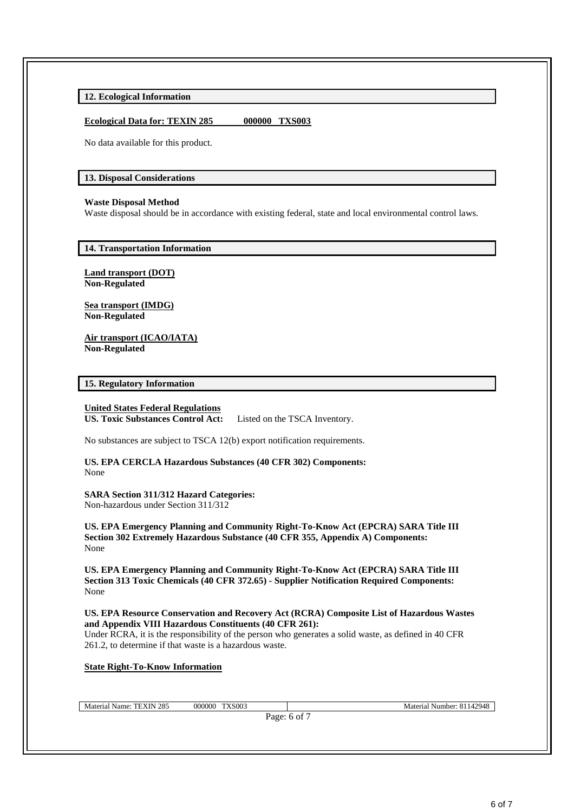**12. Ecological Information** 

## **Ecological Data for: TEXIN 285 000000 TXS003**

No data available for this product.

## **13. Disposal Considerations**

## **Waste Disposal Method**

Waste disposal should be in accordance with existing federal, state and local environmental control laws.

## **14. Transportation Information**

**Land transport (DOT) Non-Regulated**

**Sea transport (IMDG) Non-Regulated**

**Air transport (ICAO/IATA) Non-Regulated**

## **15. Regulatory Information**

## **United States Federal Regulations**

**US. Toxic Substances Control Act:** Listed on the TSCA Inventory.

No substances are subject to TSCA 12(b) export notification requirements.

**US. EPA CERCLA Hazardous Substances (40 CFR 302) Components:** None

**SARA Section 311/312 Hazard Categories:** Non-hazardous under Section 311/312

**US. EPA Emergency Planning and Community Right-To-Know Act (EPCRA) SARA Title III Section 302 Extremely Hazardous Substance (40 CFR 355, Appendix A) Components:** None

**US. EPA Emergency Planning and Community Right-To-Know Act (EPCRA) SARA Title III Section 313 Toxic Chemicals (40 CFR 372.65) - Supplier Notification Required Components:** None

#### **US. EPA Resource Conservation and Recovery Act (RCRA) Composite List of Hazardous Wastes and Appendix VIII Hazardous Constituents (40 CFR 261):**

Under RCRA, it is the responsibility of the person who generates a solid waste, as defined in 40 CFR 261.2, to determine if that waste is a hazardous waste.

#### **State Right-To-Know Information**

Material Name: TEXIN 285 000000 TXS003 Material Number: 81142948

Page: 6 of 7